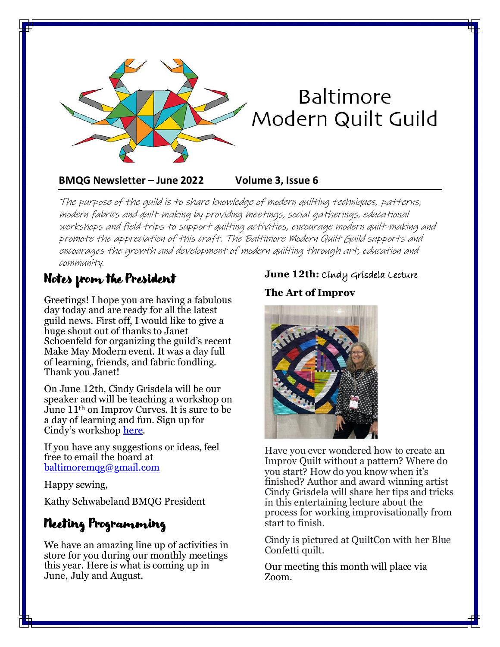

#### **BMQG Newsletter – June 2022 Volume 3, Issue 6**

The purpose of the guild is to share knowledge of modern quilting techniques, patterns, modern fabrics and quilt-making by providing meetings, social gatherings, educational workshops and field-trips to support quilting activities, encourage modern quilt-making and promote the appreciation of this craft. The Baltimore Modern Quilt Guild supports and encourages the growth and development of modern quilting through art, education and community.

### Notes from the President

Greetings! I hope you are having a fabulous day today and are ready for all the latest guild news. First off, I would like to give a huge shout out of thanks to Janet Schoenfeld for organizing the guild's recent Make May Modern event. It was a day full of learning, friends, and fabric fondling. Thank you Janet!

On June 12th, Cindy Grisdela will be our speaker and will be teaching a workshop on June 11th on Improv Curves. It is sure to be a day of learning and fun. Sign up for Cindy's workshop [here.](https://www.baltimoremqg.com/2021-calendar-of-meetings/)

If you have any suggestions or ideas, feel free to email the board at [baltimoremqg@gmail.com](mailto:baltimoremqg@gmail.com)

Happy sewing,

Kathy Schwabeland BMQG President

# Meeting Programming

We have an amazing line up of activities in store for you during our monthly meetings this year. Here is what is coming up in June, July and August.

#### **June 12th:** Cindy Grisdela Lecture

#### **The Art of Improv**



Have you ever wondered how to create an Improv Quilt without a pattern? Where do you start? How do you know when it's finished? Author and award winning artist Cindy Grisdela will share her tips and tricks in this entertaining lecture about the process for working improvisationally from start to finish.

Cindy is pictured at QuiltCon with her Blue Confetti quilt.

Our meeting this month will place via Zoom.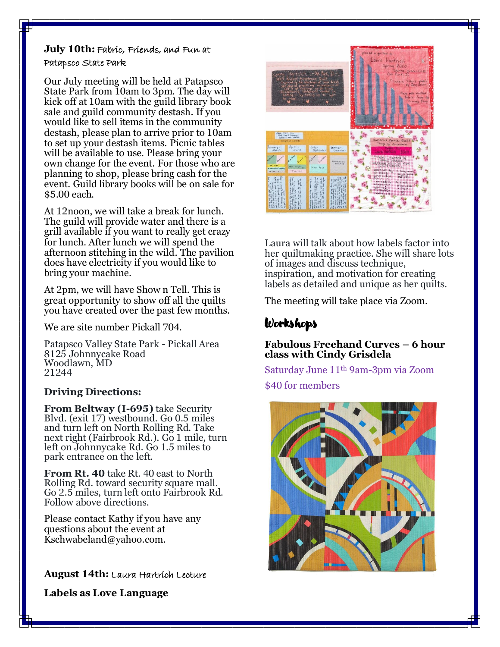#### **July 10th:** Fabric, Friends, and Fun at Patapsco State Park

Our July meeting will be held at Patapsco State Park from 10am to 3pm. The day will kick off at 10am with the guild library book sale and guild community destash. If you would like to sell items in the community destash, please plan to arrive prior to 10am to set up your destash items. Picnic tables will be available to use. Please bring your own change for the event. For those who are planning to shop, please bring cash for the event. Guild library books will be on sale for \$5.00 each.

At 12noon, we will take a break for lunch. The guild will provide water and there is a grill available if you want to really get crazy for lunch. After lunch we will spend the afternoon stitching in the wild. The pavilion does have electricity if you would like to bring your machine.

At 2pm, we will have Show n Tell. This is great opportunity to show off all the quilts you have created over the past few months.

We are site number Pickall 704.

Patapsco Valley State Park - Pickall Area 8125 Johnnycake Road Woodlawn, MD 21244

#### **Driving Directions:**

**From Beltway (I-695)** take Security Blvd. (exit 17) westbound. Go 0.5 miles and turn left on North Rolling Rd. Take next right (Fairbrook Rd.). Go 1 mile, turn left on Johnnycake Rd. Go 1.5 miles to park entrance on the left.

**From Rt. 40** take Rt. 40 east to North Rolling Rd. toward security square mall. Go 2.5 miles, turn left onto Fairbrook Rd. Follow above directions.

Please contact Kathy if you have any questions about the event at Kschwabeland@yahoo.com.

**August 14th:** Laura Hartrich Lecture

**Labels as Love Language**



Laura will talk about how labels factor into her quiltmaking practice. She will share lots of images and discuss technique, inspiration, and motivation for creating labels as detailed and unique as her quilts.

The meeting will take place via Zoom.

# Workshops

#### **Fabulous Freehand Curves – 6 hour class with Cindy Grisdela**

Saturday June 11th 9am-3pm via Zoom \$40 for members

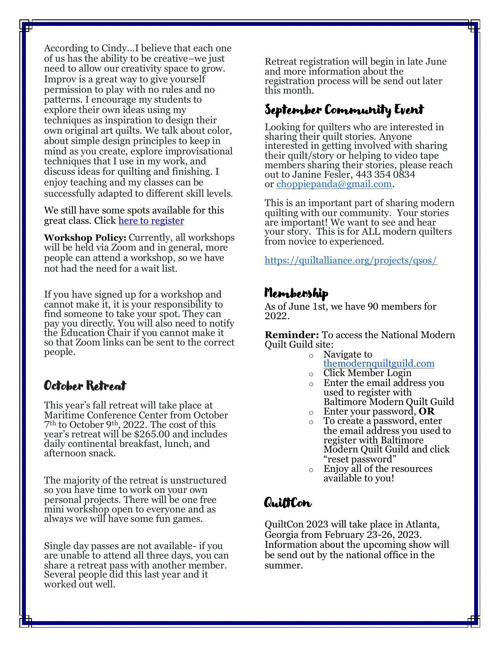According to Cindy...I believe that each one of us has the ability to be creative–we just need to allow our creativity space to grow. Improv is a great way to give yourself permission to play with no rules and no patterns. I encourage my students to explore their own ideas using my techniques as inspiration to design their own original art quilts. We talk about color, about simple design principles to keep in mind as you create, explore improvisational techniques that I use in my work, and discuss ideas for quilting and finishing. I enjoy teaching and my classes can be successfully adapted to different skill levels.

We still have some spots available for this great class. Click [here to register](https://www.baltimoremqg.com/product/fabulous-freehand-curves-workshop/)

**Workshop Policy:** Currently, all workshops will be held via Zoom and in general, more people can attend a workshop, so we have not had the need for a wait list.

If you have signed up for a workshop and cannot make it, it is your responsibility to find someone to take your spot. They can pay you directly. You will also need to notify the Education Chair if you cannot make it so that Zoom links can be sent to the correct people.

#### October Retreat

This year's fall retreat will take place at Maritime Conference Center from October 7th to October 9th, 2022. The cost of this year's retreat will be \$265.00 and includes daily continental breakfast, lunch, and afternoon snack.

The majority of the retreat is unstructured so you have time to work on your own personal projects. There will be one free mini workshop open to everyone and as always we will have some fun games.

Single day passes are not available- if you are unable to attend all three days, you can share a retreat pass with another member. Several people did this last year and it worked out well.

Retreat registration will begin in late June and more information about the registration process will be send out later this month.

### September Community Event

Looking for quilters who are interested in sharing their quilt stories. Anyone interested in getting involved with sharing their quilt/story or helping to video tape members sharing their stories, please reach out to Janine Fesler, 443 354 0834 or [choppiepanda@gmail.com.](mailto:choppiepanda@gmail.com)

This is an important part of sharing modern quilting with our community. Your stories are important! We want to see and hear your story. This is for ALL modern quilters from novice to experienced.

<https://quiltalliance.org/projects/qsos/>

#### Membership

As of June 1st, we have 90 members for 2022.

**Reminder:** To access the National Modern Quilt Guild site:

- o Navigate to
	- [themodernquiltguild.com](https://www.themodernquiltguild.com/)
- o Click Member Login
- o Enter the email address you used to register with Baltimore Modern Quilt Guild
- o Enter your password, **OR**
- o To create a password, enter the email address you used to register with Baltimore Modern Quilt Guild and click "reset password"
- o Enjoy all of the resources available to you!

### QuiltCon

QuiltCon 2023 will take place in Atlanta, Georgia from February 23-26, 2023. Information about the upcoming show will be send out by the national office in the summer.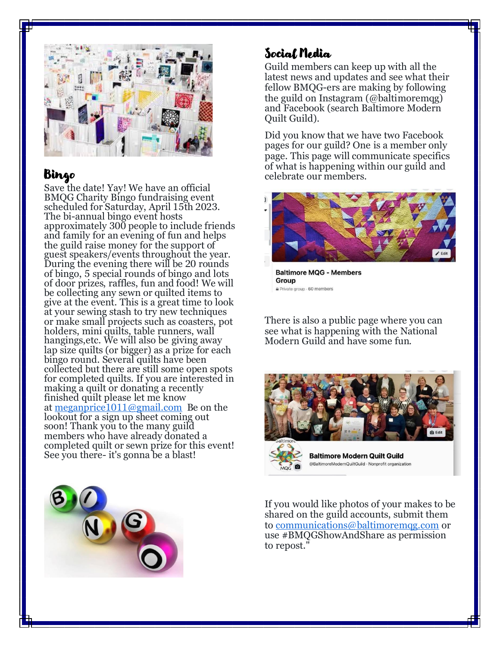

### Bingo

Save the date! Yay! We have an official BMQG Charity Bingo fundraising event scheduled for Saturday, April 15th 2023. The bi-annual bingo event hosts approximately 300 people to include friends and family for an evening of fun and helps the guild raise money for the support of guest speakers/events throughout the year. During the evening there will be 20 rounds of bingo, 5 special rounds of bingo and lots of door prizes, raffles, fun and food! We will be collecting any sewn or quilted items to give at the event. This is a great time to look at your sewing stash to try new techniques or make small projects such as coasters, pot holders, mini quilts, table runners, wall hangings,etc. We will also be giving away lap size quilts (or bigger) as a prize for each bingo round. Several quilts have been collected but there are still some open spots for completed quilts. If you are interested in making a quilt or donating a recently finished quilt please let me know at [meganprice1011@gmail.com](mailto:meganprice1011@gmail.com) Be on the lookout for a sign up sheet coming out soon! Thank you to the many guild members who have already donated a completed quilt or sewn prize for this event! See you there- it's gonna be a blast!



### Social Media

Guild members can keep up with all the latest news and updates and see what their fellow BMQG-ers are making by following the guild on Instagram (@baltimoremqg) and Facebook (search Baltimore Modern Quilt Guild).

Did you know that we have two Facebook pages for our guild? One is a member only page. This page will communicate specifics of what is happening within our guild and celebrate our members.



**Baltimore MQG - Members** Group Private group · 60 members

There is also a public page where you can see what is happening with the National Modern Guild and have some fun.



**Baltimore Modern Quilt Guild** @BaltimoreModernQuiltGuild · Nonprofit organization

If you would like photos of your makes to be shared on the guild accounts, submit them to [communications@baltimoremqg.com](mailto:communications@baltimoremqg.com) or use #BMQGShowAndShare as permission to repost."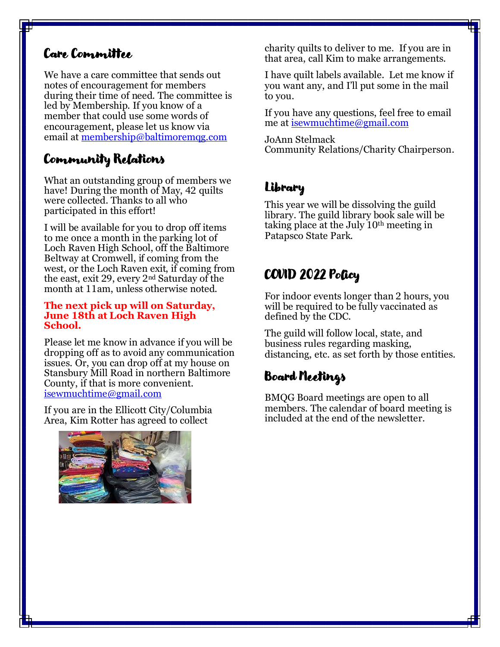### Care Committee

We have a care committee that sends out notes of encouragement for members during their time of need. The committee is led by Membership. If you know of a member that could use some words of encouragement, please let us know via email at [membership@baltimoremqg.com](mailto:membership@baltimoremqg.com)

# Community Relations

What an outstanding group of members we have! During the month of May, 42 quilts were collected. Thanks to all who participated in this effort!

I will be available for you to drop off items to me once a month in the parking lot of Loch Raven High School, off the Baltimore Beltway at Cromwell, if coming from the west, or the Loch Raven exit, if coming from the east, exit 29, every 2nd Saturday of the month at 11am, unless otherwise noted.

#### **The next pick up will on Saturday, June 18th at Loch Raven High School.**

Please let me know in advance if you will be dropping off as to avoid any communication issues. Or, you can drop off at my house on Stansbury Mill Road in northern Baltimore County, if that is more convenient. [isewmuchtime@gmail.com](mailto:isewmuchtime@gmail.com)

If you are in the Ellicott City/Columbia Area, Kim Rotter has agreed to collect



charity quilts to deliver to me. If you are in that area, call Kim to make arrangements.

I have quilt labels available. Let me know if you want any, and I'll put some in the mail to you.

If you have any questions, feel free to email me at [isewmuchtime@gmail.com](mailto:isewmuchtime@gmail.com)

JoAnn Stelmack Community Relations/Charity Chairperson.

# Library

This year we will be dissolving the guild library. The guild library book sale will be taking place at the July 10th meeting in Patapsco State Park.

# COVID 2022 Policy

For indoor events longer than 2 hours, you will be required to be fully vaccinated as defined by the CDC.

The guild will follow local, state, and business rules regarding masking, distancing, etc. as set forth by those entities.

# Board Meetings

BMQG Board meetings are open to all members. The calendar of board meeting is included at the end of the newsletter.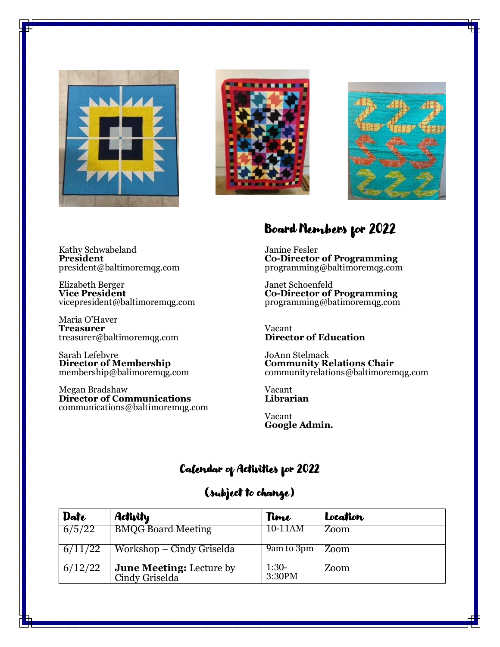





Kathy Schwabeland **President** president@baltimoremqg.com

Elizabeth Berger **Vice President** vicepresident@baltimoremqg.com

Maria O'Haver **Treasurer** treasurer@baltimoremqg.com

Sarah Lefebvre **Director of Membership** membership@balimoremqg.com

Megan Bradshaw **Director of Communications** communications@baltimoremqg.com

## Board Members for 2022

Janine Fesler **Co-Director of Programming** programming@baltimoremqg.com

Janet Schoenfeld **Co-Director of Programming**  programming@batimoremqg.com

Vacant **Director of Education** 

JoAnn Stelmack **Community Relations Chair** communityrelations@baltimoremqg.com

Vacant **Librarian**

Vacant **Google Admin.**

# Calendar of Activities for 2022

# (subject to change)

| Date    | <b>Activity</b>                                   | Time            | Location |
|---------|---------------------------------------------------|-----------------|----------|
| 6/5/22  | <b>BMQG Board Meeting</b>                         | 10-11AM         | Zoom     |
| 6/11/22 | Workshop – Cindy Griselda                         | 9am to 3pm      | Zoom     |
| 6/12/22 | <b>June Meeting:</b> Lecture by<br>Cindy Griselda | 1:30-<br>3:30PM | Zoom     |